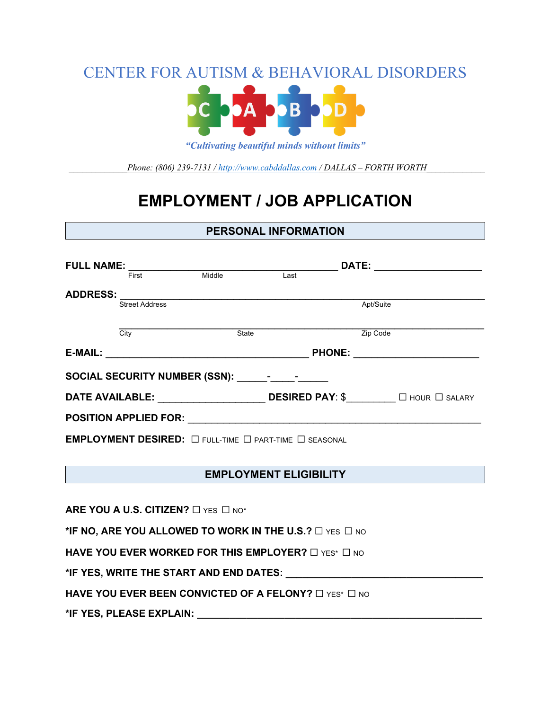CENTER FOR AUTISM & BEHAVIORAL DISORDERS



*"Cultivating beautiful minds without limits"*

*\_\_\_\_\_\_\_\_\_\_\_\_\_Phone: (806) 239-7131 / http://www.cabddallas.com / DALLAS – FORTH WORTH\_\_\_\_\_\_\_\_\_\_\_\_\_*

# **EMPLOYMENT / JOB APPLICATION**

#### **PERSONAL INFORMATION**

| <b>FULL NAME:</b>                                                                                                                                                                                                              |                       |              | <b>DATE:</b>                           |           |  |  |
|--------------------------------------------------------------------------------------------------------------------------------------------------------------------------------------------------------------------------------|-----------------------|--------------|----------------------------------------|-----------|--|--|
|                                                                                                                                                                                                                                | First                 | Middle       | Last                                   |           |  |  |
| <b>ADDRESS:</b>                                                                                                                                                                                                                |                       |              |                                        |           |  |  |
|                                                                                                                                                                                                                                | <b>Street Address</b> |              |                                        | Apt/Suite |  |  |
|                                                                                                                                                                                                                                |                       |              |                                        |           |  |  |
|                                                                                                                                                                                                                                | City                  | <b>State</b> |                                        | Zip Code  |  |  |
| E-MAIL:                                                                                                                                                                                                                        |                       |              | <b>PHONE:</b>                          |           |  |  |
| SOCIAL SECURITY NUMBER (SSN): Factor of the social section of the section of the section of the section of the section of the section of the section of the section of the section of the section of the section of the sectio |                       |              |                                        |           |  |  |
| <b>DATE AVAILABLE:</b>                                                                                                                                                                                                         |                       |              | <b>DESIRED PAY: \$</b> □ HOUR □ SALARY |           |  |  |
| <b>POSITION APPLIED FOR:</b>                                                                                                                                                                                                   |                       |              |                                        |           |  |  |
| EMPLOYMENT DESIRED: $\Box$ full-time $\Box$ part-time $\Box$ seasonal                                                                                                                                                          |                       |              |                                        |           |  |  |

### **EMPLOYMENT ELIGIBILITY**

**ARE YOU A U.S. CITIZEN?** □ YES □ NO<sup>\*</sup>

**\*IF NO, ARE YOU ALLOWED TO WORK IN THE U.S.?** ☐ YES ☐ NO

**HAVE YOU EVER WORKED FOR THIS EMPLOYER?** □ YES\* □ NO

**\*IF YES, WRITE THE START AND END DATES: \_\_\_\_\_\_\_\_\_\_\_\_\_\_\_\_\_\_\_\_\_\_\_\_\_\_\_\_\_\_\_\_\_\_\_\_**

**HAVE YOU EVER BEEN CONVICTED OF A FELONY?** □ YES<sup>\*</sup> □ NO

**\*IF YES, PLEASE EXPLAIN: \_\_\_\_\_\_\_\_\_\_\_\_\_\_\_\_\_\_\_\_\_\_\_\_\_\_\_\_\_\_\_\_\_\_\_\_\_\_\_\_\_\_\_\_\_\_\_\_\_\_\_\_**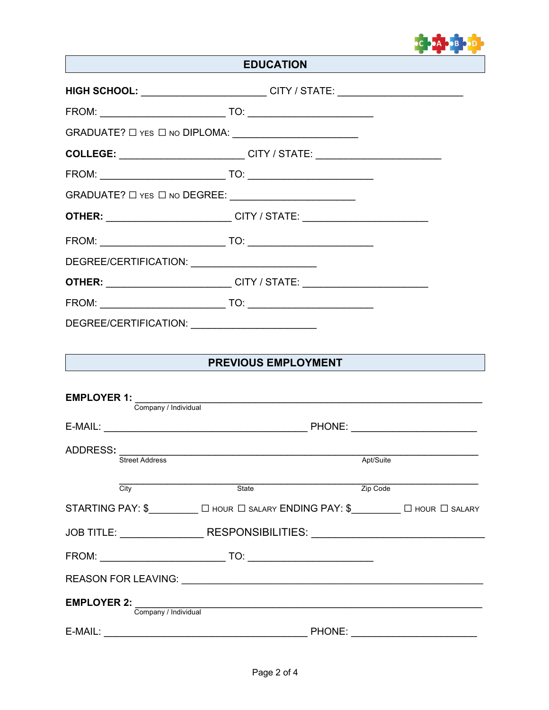

# **EDUCATION**

|                                   | HIGH SCHOOL: ________________________CITY / STATE: _____________________________      |                                                                                  |
|-----------------------------------|---------------------------------------------------------------------------------------|----------------------------------------------------------------------------------|
|                                   |                                                                                       |                                                                                  |
|                                   |                                                                                       |                                                                                  |
|                                   | COLLEGE: ______________________________CITY / STATE: ___________________________      |                                                                                  |
|                                   |                                                                                       |                                                                                  |
|                                   |                                                                                       |                                                                                  |
|                                   | <b>OTHER:</b> __________________________CITY / STATE: _______________________________ |                                                                                  |
|                                   |                                                                                       |                                                                                  |
|                                   | DEGREE/CERTIFICATION: ____________________________                                    |                                                                                  |
|                                   | <b>OTHER:</b> __________________________CITY / STATE: _______________________________ |                                                                                  |
|                                   |                                                                                       |                                                                                  |
|                                   | DEGREE/CERTIFICATION: ________________________                                        |                                                                                  |
|                                   | <b>PREVIOUS EMPLOYMENT</b>                                                            |                                                                                  |
|                                   |                                                                                       |                                                                                  |
| <b>EMPLOYER 1:</b>                |                                                                                       |                                                                                  |
| Company / Individual              |                                                                                       |                                                                                  |
|                                   |                                                                                       |                                                                                  |
| ADDRESS:<br><b>Street Address</b> |                                                                                       | Apt/Suite                                                                        |
|                                   |                                                                                       |                                                                                  |
| $\overline{City}$                 | State                                                                                 | Zip Code                                                                         |
|                                   |                                                                                       |                                                                                  |
|                                   |                                                                                       | JOB TITLE: ____________________RESPONSIBILITIES: _______________________________ |
|                                   |                                                                                       |                                                                                  |
|                                   |                                                                                       |                                                                                  |
| <b>EMPLOYER 2:</b>                |                                                                                       | Company / Individual<br>Company / Individual                                     |
| E-MAIL:                           | <b>Example 2018 PHONE:</b> PHONE:                                                     |                                                                                  |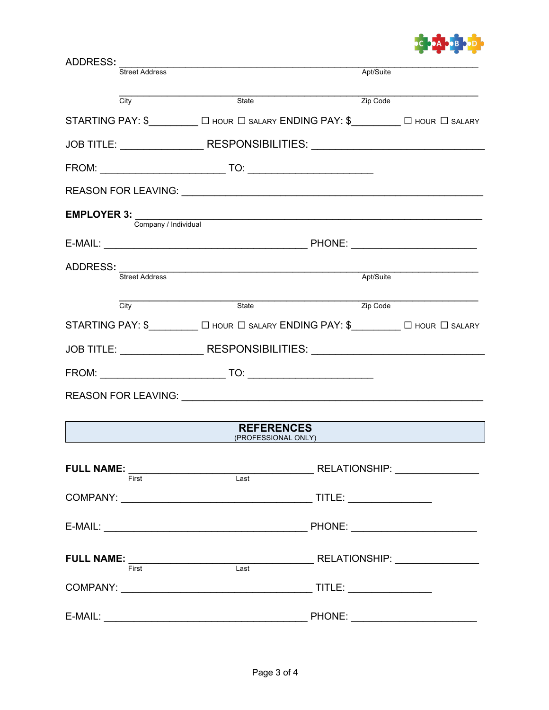

| ADDRESS:              |                                                                                                                                                                                                                                                                                                                                                                                                                                                                                                                                                       |               |  |
|-----------------------|-------------------------------------------------------------------------------------------------------------------------------------------------------------------------------------------------------------------------------------------------------------------------------------------------------------------------------------------------------------------------------------------------------------------------------------------------------------------------------------------------------------------------------------------------------|---------------|--|
| <b>Street Address</b> |                                                                                                                                                                                                                                                                                                                                                                                                                                                                                                                                                       | Apt/Suite     |  |
| City                  | State                                                                                                                                                                                                                                                                                                                                                                                                                                                                                                                                                 | Zip Code      |  |
|                       | STARTING PAY: \$__________ [ HOUR   SALARY ENDING PAY: \$________ [ HOUR   SALARY                                                                                                                                                                                                                                                                                                                                                                                                                                                                     |               |  |
|                       | JOB TITLE: __________________RESPONSIBILITIES: _________________________________                                                                                                                                                                                                                                                                                                                                                                                                                                                                      |               |  |
|                       |                                                                                                                                                                                                                                                                                                                                                                                                                                                                                                                                                       |               |  |
|                       |                                                                                                                                                                                                                                                                                                                                                                                                                                                                                                                                                       |               |  |
|                       | EMPLOYER 3: Company / Individual Company / Individual                                                                                                                                                                                                                                                                                                                                                                                                                                                                                                 |               |  |
|                       |                                                                                                                                                                                                                                                                                                                                                                                                                                                                                                                                                       |               |  |
| ADDRESS:              | <u> 1989 - Johann Stoff, amerikansk politiker (* 1908)</u>                                                                                                                                                                                                                                                                                                                                                                                                                                                                                            |               |  |
| <b>Street Address</b> |                                                                                                                                                                                                                                                                                                                                                                                                                                                                                                                                                       | Apt/Suite     |  |
| $\overline{City}$     | State                                                                                                                                                                                                                                                                                                                                                                                                                                                                                                                                                 | Zip Code      |  |
|                       | STARTING PAY: \$___________ O HOUR O SALARY ENDING PAY: \$_________ O HOUR O SALARY                                                                                                                                                                                                                                                                                                                                                                                                                                                                   |               |  |
|                       | JOB TITLE: ____________________RESPONSIBILITIES: _______________________________                                                                                                                                                                                                                                                                                                                                                                                                                                                                      |               |  |
|                       |                                                                                                                                                                                                                                                                                                                                                                                                                                                                                                                                                       |               |  |
|                       |                                                                                                                                                                                                                                                                                                                                                                                                                                                                                                                                                       |               |  |
|                       | <b>REFERENCES</b><br>(PROFESSIONAL ONLY)                                                                                                                                                                                                                                                                                                                                                                                                                                                                                                              |               |  |
|                       | $\textbf{FULL NAME: } \overbrace{\textsf{First}} \textcolor{red}{ \textbf{First}} \textcolor{red}{ \textbf{First}} \textcolor{red}{ \textbf{1} } \textcolor{red}{ \textbf{1} } \textcolor{red}{ \textbf{1} } \textcolor{red}{ \textbf{Test}} \textcolor{red}{ \textbf{1} } \textcolor{red}{ \textbf{1} } \textcolor{red}{ \textbf{1} } \textcolor{red}{ \textbf{1} } \textcolor{red}{ \textbf{1} } \textcolor{red}{ \textbf{1} } \textcolor{red}{ \textbf{1} } \textcolor{red}{ \textbf{1} } \textcolor{red}{ \textbf{1} } \textcolor{red}{ \textbf{$ |               |  |
|                       |                                                                                                                                                                                                                                                                                                                                                                                                                                                                                                                                                       |               |  |
|                       |                                                                                                                                                                                                                                                                                                                                                                                                                                                                                                                                                       |               |  |
|                       | $\textbf{FULL NAME:} \begin{tabular}{@{}c@{\hspace{1em}}l} \hline \textbf{FULL NAME:} \end{tabular} \begin{tabular}{@{}c@{\hspace{1em}}l} \hline \textbf{FULL NAME:} \end{tabular} \begin{tabular}{@{}c@{\hspace{1em}}l} \hline \textbf{NALL NAME:} \end{tabular} \begin{tabular}{@{}c@{\hspace{1em}}l} \hline \end{tabular} \end{tabular} \begin{tabular}{@{}c@{\hspace{1em}}l} \hline \end{tabular} \begin{tabular}{@{}c@{\hspace{1em}}l} \hline \end{tabular} \begin{tabular}{@{}c$                                                                |               |  |
|                       |                                                                                                                                                                                                                                                                                                                                                                                                                                                                                                                                                       |               |  |
|                       | E-MAIL: The contract of the contract of the contract of the contract of the contract of the contract of the contract of the contract of the contract of the contract of the contract of the contract of the contract of the co                                                                                                                                                                                                                                                                                                                        | <b>PHONE:</b> |  |